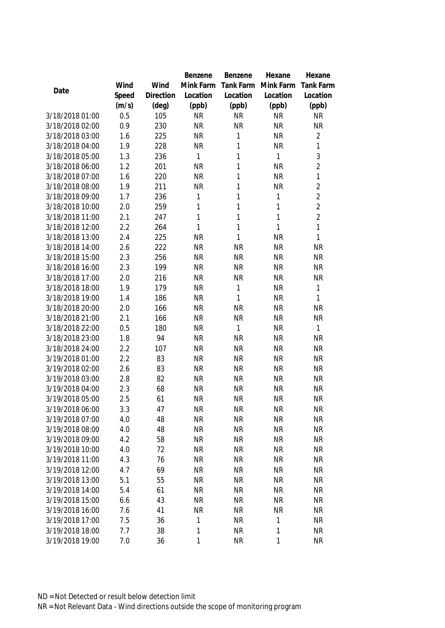|                                    |            |           | Benzene                | Benzene                | Hexane                 | Hexane                 |
|------------------------------------|------------|-----------|------------------------|------------------------|------------------------|------------------------|
|                                    | Wind       | Wind      | Mink Farm              | Tank Farm              | Mink Farm              | <b>Tank Farm</b>       |
| Date                               | Speed      | Direction | Location               | Location               | Location               | Location               |
|                                    | (m/s)      | (deg)     | (ppb)                  | (ppb)                  | (ppb)                  | (ppb)                  |
| 3/18/2018 01:00                    | 0.5        | 105       | <b>NR</b>              | <b>NR</b>              | <b>NR</b>              | <b>NR</b>              |
| 3/18/2018 02:00                    | 0.9        | 230       | <b>NR</b>              | <b>NR</b>              | <b>NR</b>              | <b>NR</b>              |
| 3/18/2018 03:00                    | 1.6        | 225       | <b>NR</b>              | 1                      | <b>NR</b>              | $\overline{2}$         |
| 3/18/2018 04:00                    | 1.9        | 228       | <b>NR</b>              | $\mathbf{1}$           | NR                     | $\mathbf{1}$           |
| 3/18/2018 05:00                    | 1.3        | 236       | 1                      | $\mathbf{1}$           | 1                      | 3                      |
| 3/18/2018 06:00                    | 1.2        | 201       | <b>NR</b>              | $\mathbf{1}$           | <b>NR</b>              | $\overline{2}$         |
| 3/18/2018 07:00                    | 1.6        | 220       | <b>NR</b>              | 1                      | <b>NR</b>              | $\mathbf{1}$           |
| 3/18/2018 08:00                    | 1.9        | 211       | <b>NR</b>              | $\mathbf 1$            | <b>NR</b>              | $\overline{2}$         |
| 3/18/2018 09:00                    | 1.7        | 236       | 1                      | $\mathbf{1}$           | 1                      | $\overline{2}$         |
| 3/18/2018 10:00                    | 2.0        | 259       | 1                      | $\mathbf 1$            | 1                      | $\overline{2}$         |
| 3/18/2018 11:00                    | 2.1        | 247       | 1                      | $\mathbf{1}$           | 1                      | $\overline{2}$         |
| 3/18/2018 12:00                    | 2.2        | 264       | 1                      | $\mathbf{1}$           | 1                      | $\mathbf{1}$           |
| 3/18/2018 13:00                    | 2.4        | 225       | <b>NR</b>              | $\mathbf{1}$           | <b>NR</b>              | $\mathbf{1}$           |
| 3/18/2018 14:00                    | 2.6        | 222       | <b>NR</b>              | <b>NR</b>              | <b>NR</b>              | <b>NR</b>              |
| 3/18/2018 15:00                    | 2.3        | 256       | <b>NR</b>              | <b>NR</b>              | <b>NR</b>              | <b>NR</b>              |
| 3/18/2018 16:00                    | 2.3        | 199       | <b>NR</b>              | <b>NR</b>              | <b>NR</b>              | <b>NR</b>              |
| 3/18/2018 17:00                    | 2.0        | 216       | <b>NR</b>              | <b>NR</b>              | <b>NR</b>              | <b>NR</b>              |
| 3/18/2018 18:00                    | 1.9        | 179       | <b>NR</b>              | 1                      | <b>NR</b>              | 1                      |
| 3/18/2018 19:00                    | 1.4        | 186       | <b>NR</b>              | $\mathbf{1}$           | <b>NR</b>              | 1                      |
| 3/18/2018 20:00                    | 2.0        | 166       | <b>NR</b>              | <b>NR</b>              | <b>NR</b>              | <b>NR</b>              |
| 3/18/2018 21:00                    | 2.1        | 166       | <b>NR</b>              | <b>NR</b>              | <b>NR</b>              | <b>NR</b>              |
| 3/18/2018 22:00                    | 0.5        | 180       | <b>NR</b>              | 1                      | <b>NR</b>              | 1                      |
| 3/18/2018 23:00                    | 1.8        | 94        | <b>NR</b>              | <b>NR</b>              | <b>NR</b>              | <b>NR</b>              |
| 3/18/2018 24:00                    | 2.2        | 107       | <b>NR</b>              | <b>NR</b>              | <b>NR</b>              | <b>NR</b>              |
| 3/19/2018 01:00                    | 2.2        | 83        | <b>NR</b>              | <b>NR</b>              | <b>NR</b>              | <b>NR</b>              |
| 3/19/2018 02:00                    | 2.6        | 83        | <b>NR</b>              | <b>NR</b>              | <b>NR</b>              | <b>NR</b>              |
| 3/19/2018 03:00                    | 2.8        | 82        | <b>NR</b>              | <b>NR</b>              | <b>NR</b>              | <b>NR</b>              |
| 3/19/2018 04:00                    | 2.3        | 68        | <b>NR</b>              | <b>NR</b>              | <b>NR</b>              | <b>NR</b>              |
| 3/19/2018 05:00                    | 2.5        | 61        | <b>NR</b>              | <b>NR</b>              | <b>NR</b>              | <b>NR</b>              |
| 3/19/2018 06:00                    | 3.3        | 47        | <b>NR</b>              | <b>NR</b>              | <b>NR</b>              | <b>NR</b>              |
| 3/19/2018 07:00                    | 4.0        | 48        | <b>NR</b>              | <b>NR</b>              | <b>NR</b>              | <b>NR</b>              |
| 3/19/2018 08:00                    | 4.0        | 48        | <b>NR</b>              | <b>NR</b>              | <b>NR</b>              | <b>NR</b>              |
| 3/19/2018 09:00                    | 4.2        | 58        | <b>NR</b>              | <b>NR</b>              | <b>NR</b>              | <b>NR</b>              |
| 3/19/2018 10:00                    | 4.0        | 72        | <b>NR</b>              | NR                     | <b>NR</b>              | <b>NR</b>              |
| 3/19/2018 11:00                    | 4.3        | 76        | <b>NR</b>              | <b>NR</b>              | <b>NR</b>              | <b>NR</b>              |
| 3/19/2018 12:00                    | 4.7        | 69        | <b>NR</b>              | <b>NR</b>              | <b>NR</b>              | <b>NR</b>              |
| 3/19/2018 13:00                    | 5.1        | 55        | <b>NR</b>              | <b>NR</b>              | <b>NR</b>              | <b>NR</b>              |
| 3/19/2018 14:00                    | 5.4        | 61        | <b>NR</b>              | <b>NR</b>              | <b>NR</b>              | <b>NR</b>              |
| 3/19/2018 15:00                    | 6.6        | 43        | <b>NR</b><br><b>NR</b> | <b>NR</b>              | <b>NR</b><br><b>NR</b> | <b>NR</b>              |
| 3/19/2018 16:00<br>3/19/2018 17:00 | 7.6<br>7.5 | 41        | 1                      | <b>NR</b><br><b>NR</b> | 1                      | <b>NR</b><br><b>NR</b> |
|                                    |            | 36        |                        |                        |                        |                        |
| 3/19/2018 18:00                    | 7.7        | 38        | 1                      | <b>NR</b>              | 1                      | <b>NR</b>              |
| 3/19/2018 19:00                    | 7.0        | 36        | 1                      | <b>NR</b>              | 1                      | <b>NR</b>              |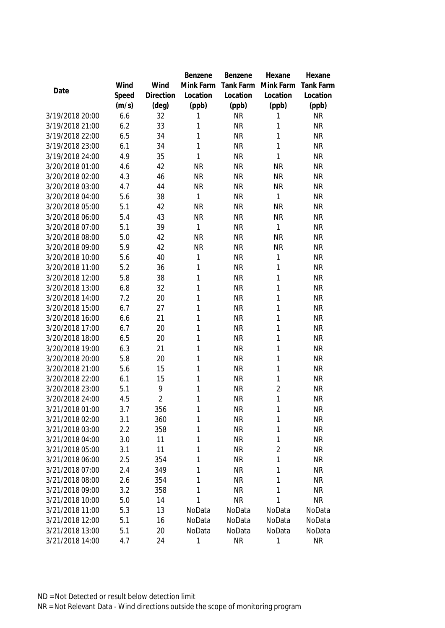|                                    |            |                | Benzene   | Benzene                | Hexane              | Hexane                 |
|------------------------------------|------------|----------------|-----------|------------------------|---------------------|------------------------|
|                                    | Wind       | Wind           | Mink Farm | Tank Farm              | Mink Farm           | Tank Farm              |
| Date                               | Speed      | Direction      | Location  | Location               | Location            | Location               |
|                                    | (m/s)      | (deg)          | (ppb)     | (ppb)                  | (ppb)               | (ppb)                  |
| 3/19/2018 20:00                    | 6.6        | 32             | 1         | <b>NR</b>              | 1                   | <b>NR</b>              |
| 3/19/2018 21:00                    | 6.2        | 33             | 1         | <b>NR</b>              | 1                   | <b>NR</b>              |
| 3/19/2018 22:00                    | 6.5        | 34             | 1         | <b>NR</b>              | 1                   | <b>NR</b>              |
| 3/19/2018 23:00                    | 6.1        | 34             | 1         | <b>NR</b>              | 1                   | <b>NR</b>              |
| 3/19/2018 24:00                    | 4.9        | 35             | 1         | <b>NR</b>              | 1                   | <b>NR</b>              |
| 3/20/2018 01:00                    | 4.6        | 42             | <b>NR</b> | <b>NR</b>              | <b>NR</b>           | <b>NR</b>              |
| 3/20/2018 02:00                    | 4.3        | 46             | <b>NR</b> | <b>NR</b>              | <b>NR</b>           | <b>NR</b>              |
| 3/20/2018 03:00                    | 4.7        | 44             | <b>NR</b> | <b>NR</b>              | <b>NR</b>           | <b>NR</b>              |
| 3/20/2018 04:00                    | 5.6        | 38             | 1         | <b>NR</b>              | 1                   | <b>NR</b>              |
| 3/20/2018 05:00                    | 5.1        | 42             | <b>NR</b> | <b>NR</b>              | <b>NR</b>           | <b>NR</b>              |
| 3/20/2018 06:00                    | 5.4        | 43             | <b>NR</b> | <b>NR</b>              | <b>NR</b>           | <b>NR</b>              |
| 3/20/2018 07:00                    | 5.1        | 39             | 1         | <b>NR</b>              | 1                   | <b>NR</b>              |
| 3/20/2018 08:00                    | 5.0        | 42             | <b>NR</b> | <b>NR</b>              | <b>NR</b>           | <b>NR</b>              |
| 3/20/2018 09:00                    | 5.9        | 42             | <b>NR</b> | <b>NR</b>              | <b>NR</b>           | <b>NR</b>              |
| 3/20/2018 10:00                    | 5.6        | 40             | 1         | <b>NR</b>              | 1                   | <b>NR</b>              |
| 3/20/2018 11:00                    | 5.2        | 36             | 1         | <b>NR</b>              | 1                   | <b>NR</b>              |
| 3/20/2018 12:00                    | 5.8        | 38             | 1         | <b>NR</b>              | 1                   | <b>NR</b>              |
| 3/20/2018 13:00                    | 6.8        | 32             | 1         | <b>NR</b>              | 1                   | <b>NR</b>              |
| 3/20/2018 14:00                    | 7.2        | 20             | 1         | <b>NR</b>              | 1                   | <b>NR</b>              |
| 3/20/2018 15:00                    | 6.7        | 27             | 1         | <b>NR</b>              | 1                   | <b>NR</b>              |
| 3/20/2018 16:00                    | 6.6        | 21             | 1         | <b>NR</b>              | 1                   | <b>NR</b>              |
| 3/20/2018 17:00                    | 6.7        | 20             | 1         | <b>NR</b>              | 1                   | <b>NR</b>              |
| 3/20/2018 18:00                    | 6.5        | 20             | 1         | <b>NR</b>              | 1                   | <b>NR</b>              |
| 3/20/2018 19:00                    | 6.3        | 21             | 1         | <b>NR</b>              | 1                   | <b>NR</b>              |
| 3/20/2018 20:00                    | 5.8        | 20             | 1         | <b>NR</b>              | 1                   | <b>NR</b>              |
| 3/20/2018 21:00                    | 5.6        | 15             | 1         | <b>NR</b>              | 1                   | <b>NR</b>              |
| 3/20/2018 22:00                    | 6.1        | 15             | 1         | <b>NR</b>              | 1                   | <b>NR</b>              |
| 3/20/2018 23:00                    | 5.1        | 9              | 1         | <b>NR</b>              | $\overline{2}$      | <b>NR</b>              |
| 3/20/2018 24:00                    | 4.5        | $\overline{2}$ | 1         | <b>NR</b>              | 1                   | <b>NR</b>              |
| 3/21/2018 01:00                    | 3.7        | 356            | 1         | <b>NR</b>              | 1                   | <b>NR</b>              |
| 3/21/2018 02:00                    | 3.1        | 360            | 1         | <b>NR</b>              | 1                   | <b>NR</b>              |
| 3/21/2018 03:00                    | 2.2        | 358            | 1         | <b>NR</b>              | 1                   | <b>NR</b>              |
| 3/21/2018 04:00                    | 3.0        | 11<br>11       | 1<br>1    | <b>NR</b><br><b>NR</b> | 1<br>$\overline{2}$ | <b>NR</b><br><b>NR</b> |
| 3/21/2018 05:00<br>3/21/2018 06:00 | 3.1<br>2.5 |                | 1         | <b>NR</b>              | 1                   | <b>NR</b>              |
| 3/21/2018 07:00                    | 2.4        | 354<br>349     | 1         | <b>NR</b>              |                     | <b>NR</b>              |
| 3/21/2018 08:00                    | 2.6        | 354            | 1         | <b>NR</b>              | 1<br>1              | <b>NR</b>              |
| 3/21/2018 09:00                    | 3.2        | 358            | 1         | <b>NR</b>              | 1                   | <b>NR</b>              |
| 3/21/2018 10:00                    | 5.0        | 14             | 1         | <b>NR</b>              | 1                   | <b>NR</b>              |
| 3/21/2018 11:00                    | 5.3        | 13             | NoData    | NoData                 | NoData              | NoData                 |
| 3/21/2018 12:00                    | 5.1        | 16             | NoData    | NoData                 | NoData              | NoData                 |
| 3/21/2018 13:00                    | 5.1        | 20             | NoData    | NoData                 | NoData              | NoData                 |
| 3/21/2018 14:00                    | 4.7        | 24             | 1         | <b>NR</b>              | 1                   | <b>NR</b>              |
|                                    |            |                |           |                        |                     |                        |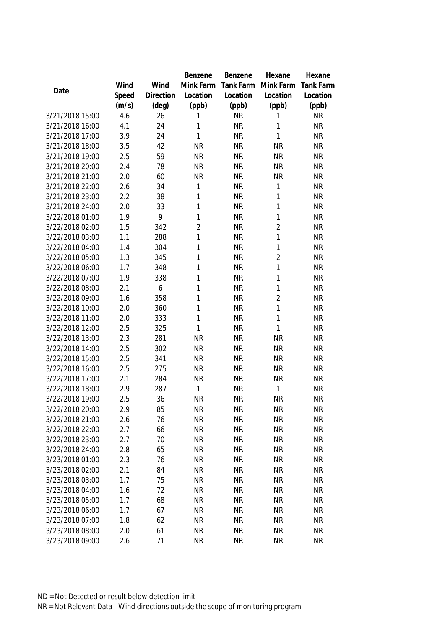|                 |       |           | Benzene        | Benzene   | Hexane         | Hexane           |
|-----------------|-------|-----------|----------------|-----------|----------------|------------------|
|                 | Wind  | Wind      | Mink Farm      | Tank Farm | Mink Farm      | <b>Tank Farm</b> |
| Date            | Speed | Direction | Location       | Location  | Location       | Location         |
|                 | (m/s) | (deg)     | (ppb)          | (ppb)     | (ppb)          | (ppb)            |
| 3/21/2018 15:00 | 4.6   | 26        | 1              | <b>NR</b> | 1              | <b>NR</b>        |
| 3/21/2018 16:00 | 4.1   | 24        | 1              | <b>NR</b> | 1              | <b>NR</b>        |
| 3/21/2018 17:00 | 3.9   | 24        | 1              | <b>NR</b> | 1              | <b>NR</b>        |
| 3/21/2018 18:00 | 3.5   | 42        | <b>NR</b>      | <b>NR</b> | <b>NR</b>      | <b>NR</b>        |
| 3/21/2018 19:00 | 2.5   | 59        | <b>NR</b>      | <b>NR</b> | <b>NR</b>      | <b>NR</b>        |
| 3/21/2018 20:00 | 2.4   | 78        | <b>NR</b>      | <b>NR</b> | <b>NR</b>      | <b>NR</b>        |
| 3/21/2018 21:00 | 2.0   | 60        | <b>NR</b>      | <b>NR</b> | <b>NR</b>      | <b>NR</b>        |
| 3/21/2018 22:00 | 2.6   | 34        | 1              | <b>NR</b> | 1              | <b>NR</b>        |
| 3/21/2018 23:00 | 2.2   | 38        | 1              | <b>NR</b> | 1              | <b>NR</b>        |
| 3/21/2018 24:00 | 2.0   | 33        | 1              | <b>NR</b> | 1              | <b>NR</b>        |
| 3/22/2018 01:00 | 1.9   | 9         | 1              | <b>NR</b> | 1              | <b>NR</b>        |
| 3/22/2018 02:00 | 1.5   | 342       | $\overline{2}$ | <b>NR</b> | $\overline{2}$ | <b>NR</b>        |
| 3/22/2018 03:00 | 1.1   | 288       | 1              | <b>NR</b> | 1              | <b>NR</b>        |
| 3/22/2018 04:00 | 1.4   | 304       | 1              | <b>NR</b> | 1              | <b>NR</b>        |
| 3/22/2018 05:00 | 1.3   | 345       | 1              | <b>NR</b> | $\overline{2}$ | <b>NR</b>        |
| 3/22/2018 06:00 | 1.7   | 348       | 1              | <b>NR</b> | 1              | <b>NR</b>        |
| 3/22/2018 07:00 | 1.9   | 338       | 1              | <b>NR</b> | 1              | <b>NR</b>        |
| 3/22/2018 08:00 | 2.1   | 6         | 1              | <b>NR</b> | 1              | <b>NR</b>        |
| 3/22/2018 09:00 | 1.6   | 358       | 1              | <b>NR</b> | $\overline{2}$ | <b>NR</b>        |
| 3/22/2018 10:00 | 2.0   | 360       | 1              | <b>NR</b> | 1              | <b>NR</b>        |
| 3/22/2018 11:00 | 2.0   | 333       | 1              | <b>NR</b> | 1              | <b>NR</b>        |
| 3/22/2018 12:00 | 2.5   | 325       | 1              | <b>NR</b> | 1              | <b>NR</b>        |
| 3/22/2018 13:00 | 2.3   | 281       | <b>NR</b>      | <b>NR</b> | <b>NR</b>      | <b>NR</b>        |
| 3/22/2018 14:00 | 2.5   | 302       | <b>NR</b>      | <b>NR</b> | <b>NR</b>      | <b>NR</b>        |
| 3/22/2018 15:00 | 2.5   | 341       | <b>NR</b>      | <b>NR</b> | <b>NR</b>      | <b>NR</b>        |
| 3/22/2018 16:00 | 2.5   | 275       | <b>NR</b>      | <b>NR</b> | <b>NR</b>      | <b>NR</b>        |
| 3/22/2018 17:00 | 2.1   | 284       | <b>NR</b>      | <b>NR</b> | <b>NR</b>      | <b>NR</b>        |
| 3/22/2018 18:00 | 2.9   | 287       | 1              | <b>NR</b> | 1              | <b>NR</b>        |
| 3/22/2018 19:00 | 2.5   | 36        | <b>NR</b>      | <b>NR</b> | <b>NR</b>      | <b>NR</b>        |
| 3/22/2018 20:00 | 2.9   | 85        | <b>NR</b>      | <b>NR</b> | <b>NR</b>      | <b>NR</b>        |
| 3/22/2018 21:00 | 2.6   | 76        | <b>NR</b>      | <b>NR</b> | <b>NR</b>      | <b>NR</b>        |
| 3/22/2018 22:00 | 2.7   | 66        | <b>NR</b>      | <b>NR</b> | <b>NR</b>      | <b>NR</b>        |
| 3/22/2018 23:00 | 2.7   | 70        | <b>NR</b>      | <b>NR</b> | <b>NR</b>      | <b>NR</b>        |
| 3/22/2018 24:00 | 2.8   | 65        | <b>NR</b>      | <b>NR</b> | <b>NR</b>      | <b>NR</b>        |
| 3/23/2018 01:00 | 2.3   | 76        | <b>NR</b>      | <b>NR</b> | <b>NR</b>      | <b>NR</b>        |
| 3/23/2018 02:00 | 2.1   | 84        | <b>NR</b>      | <b>NR</b> | <b>NR</b>      | <b>NR</b>        |
| 3/23/2018 03:00 | 1.7   | 75        | <b>NR</b>      | <b>NR</b> | <b>NR</b>      | <b>NR</b>        |
| 3/23/2018 04:00 | 1.6   | 72        | <b>NR</b>      | <b>NR</b> | <b>NR</b>      | <b>NR</b>        |
| 3/23/2018 05:00 | 1.7   | 68        | <b>NR</b>      | <b>NR</b> | <b>NR</b>      | <b>NR</b>        |
| 3/23/2018 06:00 | 1.7   | 67        | <b>NR</b>      | <b>NR</b> | <b>NR</b>      | <b>NR</b>        |
| 3/23/2018 07:00 | 1.8   | 62        | <b>NR</b>      | <b>NR</b> | <b>NR</b>      | <b>NR</b>        |
| 3/23/2018 08:00 | 2.0   | 61        | <b>NR</b>      | <b>NR</b> | <b>NR</b>      | <b>NR</b>        |
| 3/23/2018 09:00 | 2.6   | 71        | <b>NR</b>      | <b>NR</b> | <b>NR</b>      | <b>NR</b>        |